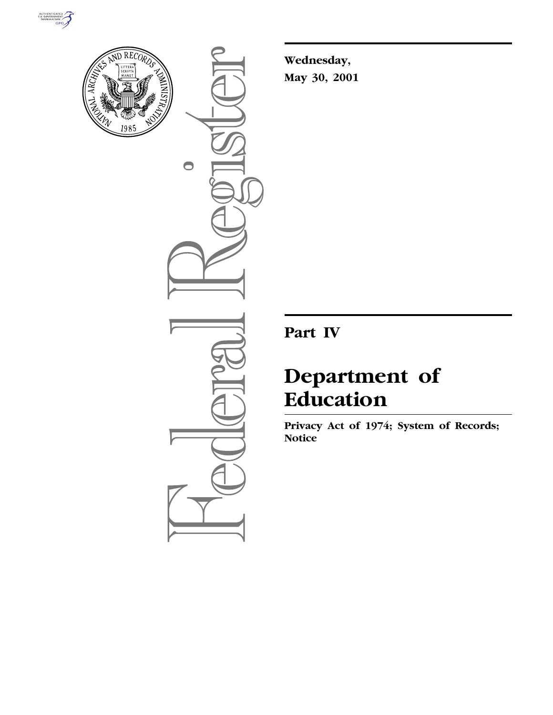



 $\bullet$ 

**Wednesday, May 30, 2001**

**Part IV**

# **Department of Education**

**Privacy Act of 1974; System of Records; Notice**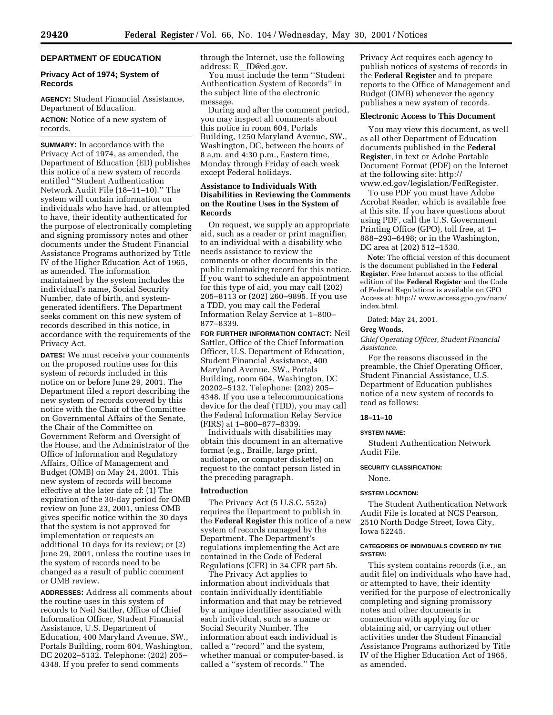# **DEPARTMENT OF EDUCATION**

# **Privacy Act of 1974; System of Records**

**AGENCY:** Student Financial Assistance, Department of Education.

**ACTION:** Notice of a new system of records.

**SUMMARY:** In accordance with the Privacy Act of 1974, as amended, the Department of Education (ED) publishes this notice of a new system of records entitled ''Student Authentication Network Audit File (18–11–10).'' The system will contain information on individuals who have had, or attempted to have, their identity authenticated for the purpose of electronically completing and signing promissory notes and other documents under the Student Financial Assistance Programs authorized by Title IV of the Higher Education Act of 1965, as amended. The information maintained by the system includes the individual's name, Social Security Number, date of birth, and systemgenerated identifiers. The Department seeks comment on this new system of records described in this notice, in accordance with the requirements of the Privacy Act.

**DATES:** We must receive your comments on the proposed routine uses for this system of records included in this notice on or before June 29, 2001. The Department filed a report describing the new system of records covered by this notice with the Chair of the Committee on Governmental Affairs of the Senate, the Chair of the Committee on Government Reform and Oversight of the House, and the Administrator of the Office of Information and Regulatory Affairs, Office of Management and Budget (OMB) on May 24, 2001. This new system of records will become effective at the later date of: (1) The expiration of the 30-day period for OMB review on June 23, 2001, unless OMB gives specific notice within the 30 days that the system is not approved for implementation or requests an additional 10 days for its review; or (2) June 29, 2001, unless the routine uses in the system of records need to be changed as a result of public comment or OMB review.

**ADDRESSES:** Address all comments about the routine uses in this system of records to Neil Sattler, Office of Chief Information Officer, Student Financial Assistance, U.S. Department of Education, 400 Maryland Avenue, SW., Portals Building, room 604, Washington, DC 20202–5132. Telephone: (202) 205– 4348. If you prefer to send comments

through the Internet, use the following address: E ID@ed.gov.

You must include the term ''Student Authentication System of Records'' in the subject line of the electronic message.

During and after the comment period, you may inspect all comments about this notice in room 604, Portals Building, 1250 Maryland Avenue, SW., Washington, DC, between the hours of 8 a.m. and 4:30 p.m., Eastern time, Monday through Friday of each week except Federal holidays.

# **Assistance to Individuals With Disabilities in Reviewing the Comments on the Routine Uses in the System of Records**

On request, we supply an appropriate aid, such as a reader or print magnifier, to an individual with a disability who needs assistance to review the comments or other documents in the public rulemaking record for this notice. If you want to schedule an appointment for this type of aid, you may call (202) 205–8113 or (202) 260–9895. If you use a TDD, you may call the Federal Information Relay Service at 1–800– 877–8339.

**FOR FURTHER INFORMATION CONTACT:** Neil Sattler, Office of the Chief Information Officer, U.S. Department of Education, Student Financial Assistance, 400 Maryland Avenue, SW., Portals Building, room 604, Washington, DC 20202–5132. Telephone: (202) 205– 4348. If you use a telecommunications device for the deaf (TDD), you may call the Federal Information Relay Service (FIRS) at 1–800–877–8339.

Individuals with disabilities may obtain this document in an alternative format (e.g., Braille, large print, audiotape, or computer diskette) on request to the contact person listed in the preceding paragraph.

# **Introduction**

The Privacy Act (5 U.S.C. 552a) requires the Department to publish in the **Federal Register** this notice of a new system of records managed by the Department. The Department's regulations implementing the Act are contained in the Code of Federal Regulations (CFR) in 34 CFR part 5b.

The Privacy Act applies to information about individuals that contain individually identifiable information and that may be retrieved by a unique identifier associated with each individual, such as a name or Social Security Number. The information about each individual is called a ''record'' and the system, whether manual or computer-based, is called a ''system of records.'' The

Privacy Act requires each agency to publish notices of systems of records in the **Federal Register** and to prepare reports to the Office of Management and Budget (OMB) whenever the agency publishes a new system of records.

# **Electronic Access to This Document**

You may view this document, as well as all other Department of Education documents published in the **Federal Register**, in text or Adobe Portable Document Format (PDF) on the Internet at the following site: http:// www.ed.gov/legislation/FedRegister.

To use PDF you must have Adobe Acrobat Reader, which is available free at this site. If you have questions about using PDF, call the U.S. Government Printing Office (GPO), toll free, at 1– 888–293–6498; or in the Washington, DC area at (202) 512–1530.

**Note:** The official version of this document is the document published in the **Federal Register**. Free Internet access to the official edition of the **Federal Register** and the Code of Federal Regulations is available on GPO Access at: http:// www.access.gpo.gov/nara/ index.html.

Dated: May 24, 2001.

# **Greg Woods,**

*Chief Operating Officer, Student Financial Assistance.*

For the reasons discussed in the preamble, the Chief Operating Officer, Student Financial Assistance, U.S. Department of Education publishes notice of a new system of records to read as follows:

# **18–11–10**

#### **SYSTEM NAME:**

Student Authentication Network Audit File.

# **SECURITY CLASSIFICATION:**

None.

## **SYSTEM LOCATION:**

The Student Authentication Network Audit File is located at NCS Pearson, 2510 North Dodge Street, Iowa City, Iowa 52245.

# **CATEGORIES OF INDIVIDUALS COVERED BY THE SYSTEM:**

This system contains records (i.e., an audit file) on individuals who have had, or attempted to have, their identity verified for the purpose of electronically completing and signing promissory notes and other documents in connection with applying for or obtaining aid, or carrying out other activities under the Student Financial Assistance Programs authorized by Title IV of the Higher Education Act of 1965, as amended.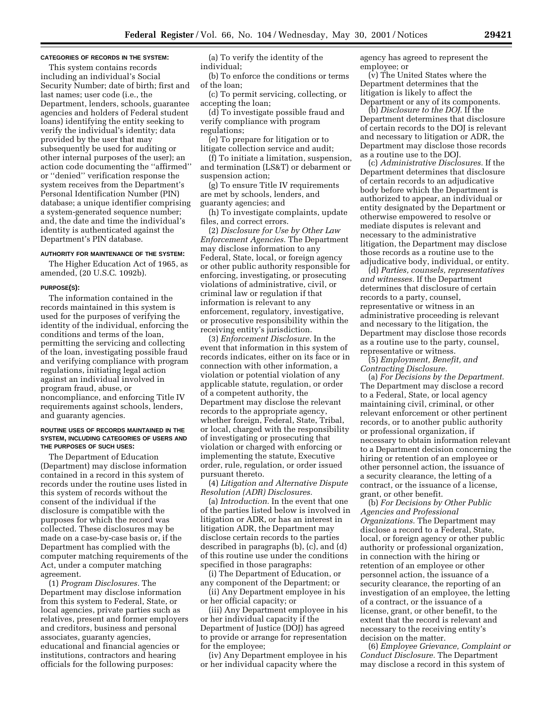## **CATEGORIES OF RECORDS IN THE SYSTEM:**

This system contains records including an individual's Social Security Number; date of birth; first and last names; user code (i.e., the Department, lenders, schools, guarantee agencies and holders of Federal student loans) identifying the entity seeking to verify the individual's identity; data provided by the user that may subsequently be used for auditing or other internal purposes of the user); an action code documenting the ''affirmed'' or ''denied'' verification response the system receives from the Department's Personal Identification Number (PIN) database; a unique identifier comprising a system-generated sequence number; and, the date and time the individual's identity is authenticated against the Department's PIN database.

#### **AUTHORITY FOR MAINTENANCE OF THE SYSTEM:**

The Higher Education Act of 1965, as amended, (20 U.S.C. 1092b).

# **PURPOSE(S):**

The information contained in the records maintained in this system is used for the purposes of verifying the identity of the individual, enforcing the conditions and terms of the loan, permitting the servicing and collecting of the loan, investigating possible fraud and verifying compliance with program regulations, initiating legal action against an individual involved in program fraud, abuse, or noncompliance, and enforcing Title IV requirements against schools, lenders, and guaranty agencies.

## **ROUTINE USES OF RECORDS MAINTAINED IN THE SYSTEM, INCLUDING CATEGORIES OF USERS AND THE PURPOSES OF SUCH USES:**

The Department of Education (Department) may disclose information contained in a record in this system of records under the routine uses listed in this system of records without the consent of the individual if the disclosure is compatible with the purposes for which the record was collected. These disclosures may be made on a case-by-case basis or, if the Department has complied with the computer matching requirements of the Act, under a computer matching agreement.

(1) *Program Disclosures.* The Department may disclose information from this system to Federal, State, or local agencies, private parties such as relatives, present and former employers and creditors, business and personal associates, guaranty agencies, educational and financial agencies or institutions, contractors and hearing officials for the following purposes:

(a) To verify the identity of the individual;

(b) To enforce the conditions or terms of the loan;

(c) To permit servicing, collecting, or accepting the loan;

(d) To investigate possible fraud and verify compliance with program regulations;

(e) To prepare for litigation or to litigate collection service and audit;

(f) To initiate a limitation, suspension, and termination (LS&T) or debarment or suspension action;

(g) To ensure Title IV requirements are met by schools, lenders, and guaranty agencies; and

(h) To investigate complaints, update files, and correct errors.

(2) *Disclosure for Use by Other Law Enforcement Agencies.* The Department may disclose information to any Federal, State, local, or foreign agency or other public authority responsible for enforcing, investigating, or prosecuting violations of administrative, civil, or criminal law or regulation if that information is relevant to any enforcement, regulatory, investigative, or prosecutive responsibility within the receiving entity's jurisdiction.

(3) *Enforcement Disclosure.* In the event that information in this system of records indicates, either on its face or in connection with other information, a violation or potential violation of any applicable statute, regulation, or order of a competent authority, the Department may disclose the relevant records to the appropriate agency, whether foreign, Federal, State, Tribal, or local, charged with the responsibility of investigating or prosecuting that violation or charged with enforcing or implementing the statute, Executive order, rule, regulation, or order issued pursuant thereto.

(4) *Litigation and Alternative Dispute Resolution (ADR) Disclosures.*

(a) *Introduction.* In the event that one of the parties listed below is involved in litigation or ADR, or has an interest in litigation ADR, the Department may disclose certain records to the parties described in paragraphs (b), (c), and (d) of this routine use under the conditions specified in those paragraphs:

(i) The Department of Education, or any component of the Department; or

(ii) Any Department employee in his or her official capacity; or

(iii) Any Department employee in his or her individual capacity if the Department of Justice (DOJ) has agreed to provide or arrange for representation for the employee;

(iv) Any Department employee in his or her individual capacity where the

agency has agreed to represent the employee; or

(v) The United States where the Department determines that the litigation is likely to affect the Department or any of its components.

(b) *Disclosure to the DOJ.* If the Department determines that disclosure of certain records to the DOJ is relevant and necessary to litigation or ADR, the Department may disclose those records as a routine use to the DOJ.

(c) *Administrative Disclosures.* If the Department determines that disclosure of certain records to an adjudicative body before which the Department is authorized to appear, an individual or entity designated by the Department or otherwise empowered to resolve or mediate disputes is relevant and necessary to the administrative litigation, the Department may disclose those records as a routine use to the adjudicative body, individual, or entity.

(d) *Parties, counsels, representatives and witnesses.* If the Department determines that disclosure of certain records to a party, counsel, representative or witness in an administrative proceeding is relevant and necessary to the litigation, the Department may disclose those records as a routine use to the party, counsel, representative or witness.

(5) *Employment, Benefit, and Contracting Disclosure.*

(a) *For Decisions by the Department.* The Department may disclose a record to a Federal, State, or local agency maintaining civil, criminal, or other relevant enforcement or other pertinent records, or to another public authority or professional organization, if necessary to obtain information relevant to a Department decision concerning the hiring or retention of an employee or other personnel action, the issuance of a security clearance, the letting of a contract, or the issuance of a license, grant, or other benefit.

(b) *For Decisions by Other Public Agencies and Professional Organizations.* The Department may disclose a record to a Federal, State, local, or foreign agency or other public authority or professional organization, in connection with the hiring or retention of an employee or other personnel action, the issuance of a security clearance, the reporting of an investigation of an employee, the letting of a contract, or the issuance of a license, grant, or other benefit, to the extent that the record is relevant and necessary to the receiving entity's decision on the matter.

(6) *Employee Grievance, Complaint or Conduct Disclosure.* The Department may disclose a record in this system of